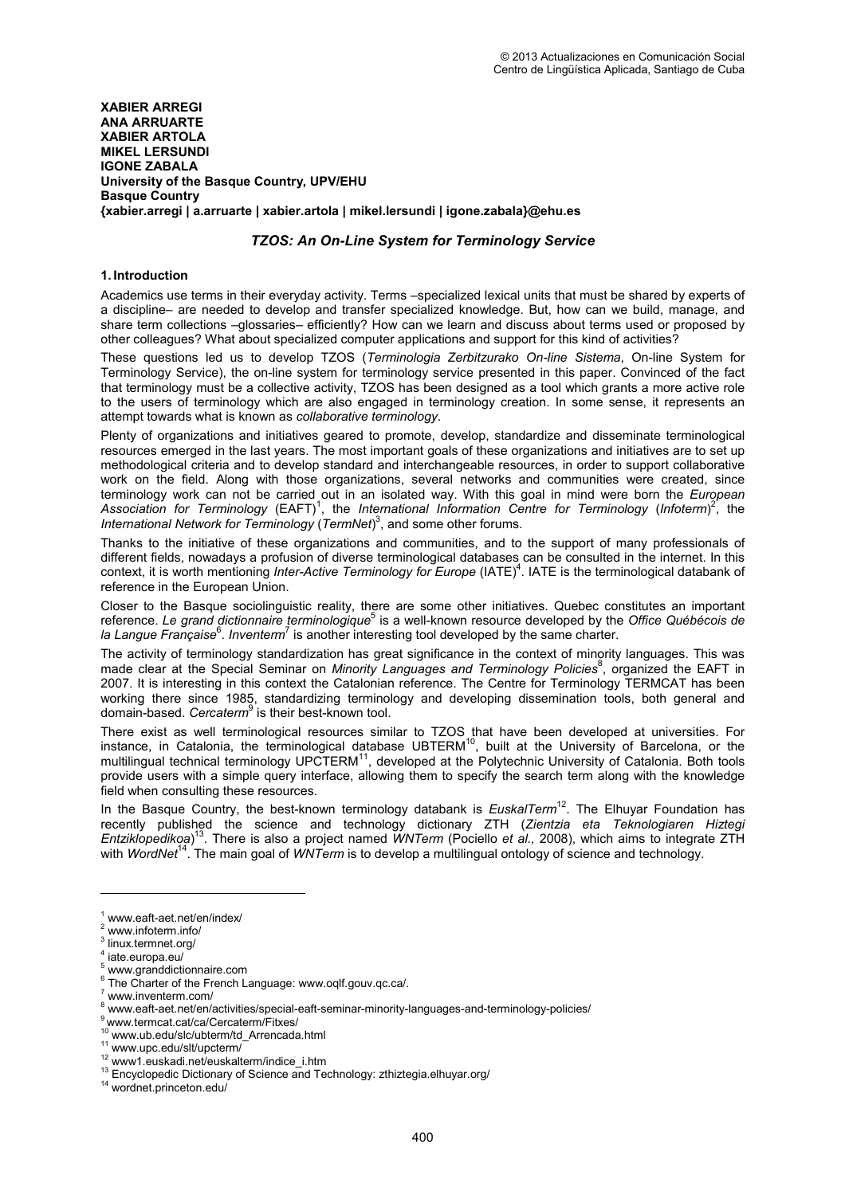**XABIER ARREGI ANA ARRUARTE XABIER ARTOLA MIKEL LERSUNDI IGONE ZABALA University of the Basque Country, UPV/EHU Basque Country {xabier.arregi | a.arruarte | xabier.artola | mikel.lersundi | igone.zabala}@ehu.es** 

# *TZOS: An On-Line System for Terminology Service*

### **1. Introduction**

Academics use terms in their everyday activity. Terms –specialized lexical units that must be shared by experts of a discipline– are needed to develop and transfer specialized knowledge. But, how can we build, manage, and share term collections –glossaries– efficiently? How can we learn and discuss about terms used or proposed by other colleagues? What about specialized computer applications and support for this kind of activities?

These questions led us to develop TZOS (*Terminologia Zerbitzurako On-line Sistema*, On-line System for Terminology Service), the on-line system for terminology service presented in this paper. Convinced of the fact that terminology must be a collective activity, TZOS has been designed as a tool which grants a more active role to the users of terminology which are also engaged in terminology creation. In some sense, it represents an attempt towards what is known as *collaborative terminology*.

Plenty of organizations and initiatives geared to promote, develop, standardize and disseminate terminological resources emerged in the last years. The most important goals of these organizations and initiatives are to set up methodological criteria and to develop standard and interchangeable resources, in order to support collaborative work on the field. Along with those organizations, several networks and communities were created, since terminology work can not be carried out in an isolated way. With this goal in mind were born the *European*  Association for Terminology (EAFT)<sup>1</sup>, the International Information Centre for Terminology (Infoterm)<sup>2</sup>, the *International Network for Terminology* (*TermNet*) 3 , and some other forums.

Thanks to the initiative of these organizations and communities, and to the support of many professionals of different fields, nowadays a profusion of diverse terminological databases can be consulted in the internet. In this context, it is worth mentioning *Inter-Active Terminology for Europe* (IATE)<sup>4</sup>. IATE is the terminological databank of reference in the European Union.

Closer to the Basque sociolinguistic reality, there are some other initiatives. Quebec constitutes an important reference. Le grand dictionnaire terminologique<sup>5</sup> is a well-known resource developed by the Office Québécois de la Langue Française<sup>6</sup>. Inventerm<sup>7</sup> is another interesting tool developed by the same charter.

The activity of terminology standardization has great significance in the context of minority languages. This was made clear at the Special Seminar on Minority Languages and Terminology Policies<sup>8</sup>, organized the EAFT in 2007. It is interesting in this context the Catalonian reference. The Centre for Terminology TERMCAT has been working there since 1985, standardizing terminology and developing dissemination tools, both general and domain-based. *Cercaterm*<sup>9</sup> is their best-known tool.

There exist as well terminological resources similar to TZOS that have been developed at universities. For instance, in Catalonia, the terminological database UBTERM<sup>10</sup>, built at the University of Barcelona, or the multilingual technical terminology UPCTERM<sup>11</sup>, developed at the Polytechnic University of Catalonia. Both tools provide users with a simple query interface, allowing them to specify the search term along with the knowledge field when consulting these resources.

In the Basque Country, the best-known terminology databank is *EuskalTerm<sup>12</sup>*. The Elhuyar Foundation has recently published the science and technology dictionary ZTH (*Zientzia eta Teknologiaren Hiztegi Entziklopedikoa*) <sup>13</sup>. There is also a project named *WNTerm* (Pociello *et al.,* 2008), which aims to integrate ZTH with *WordNet*<sup>14</sup>. The main goal of *WNTerm* is to develop a multilingual ontology of science and technology.

 $\overline{a}$ 

<sup>1</sup> www.eaft-aet.net/en/index/

<sup>2</sup> www.infoterm.info/

 $^3$  linux.termnet.org/

iate.europa.eu/

<sup>5</sup> www.granddictionnaire.com

 $^6$  The Charter of the French Language: www.oqlf.gouv.qc.ca/.<br>7 years inventorm com/

www.inventerm.com/

<sup>&</sup>lt;sup>8</sup> www.eaft-aet.net/en/activities/special-eaft-seminar-minority-languages-and-terminology-policies/

<sup>9</sup>www.termcat.cat/ca/Cercaterm/Fitxes/

<sup>10</sup> www.ub.edu/slc/ubterm/td\_Arrencada.html

<sup>&</sup>lt;sup>11</sup> www.upc.edu/slt/upcterm/

<sup>12</sup> www1.euskadi.net/euskalterm/indice\_i.htm

<sup>13</sup> Encyclopedic Dictionary of Science and Technology: zthiztegia.elhuyar.org/

<sup>14</sup> wordnet.princeton.edu/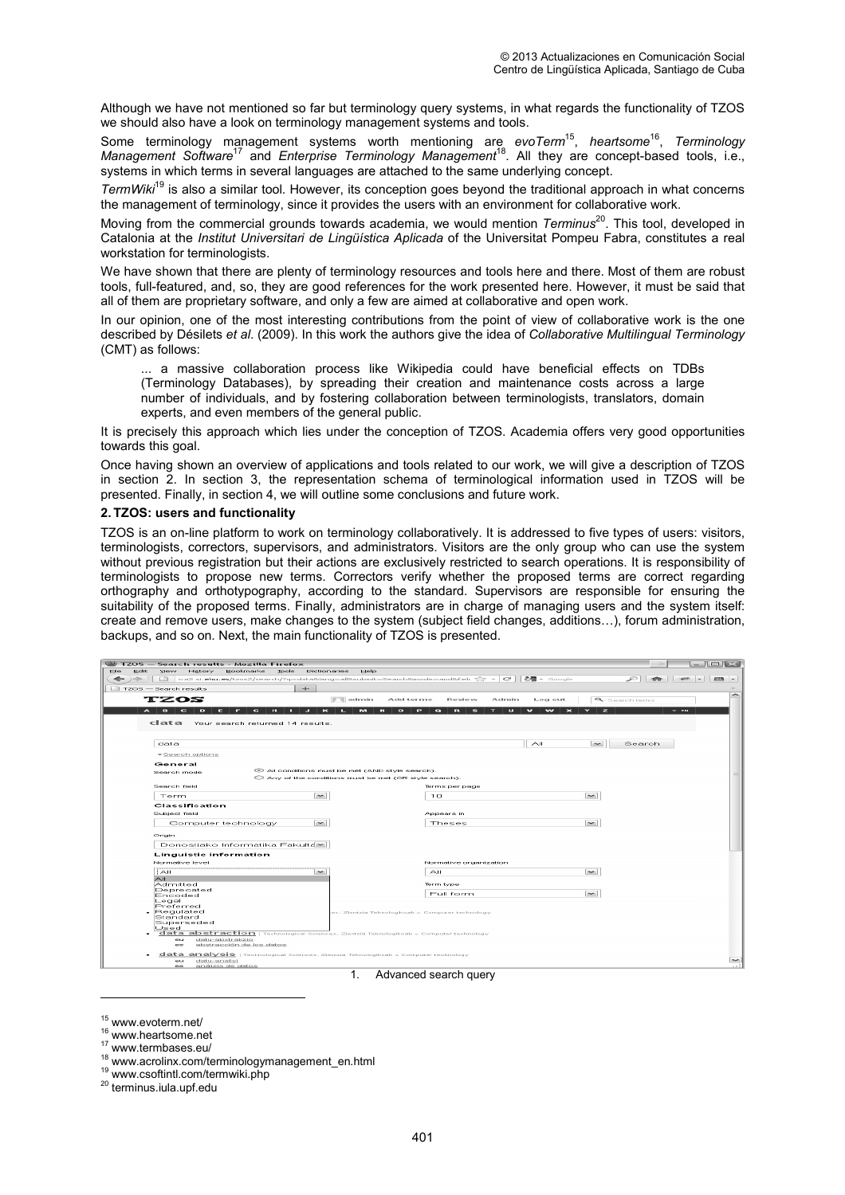Although we have not mentioned so far but terminology query systems, in what regards the functionality of TZOS we should also have a look on terminology management systems and tools.

Some terminology management systems worth mentioning are *evoTerm*<sup>15</sup> , *heartsome*<sup>16</sup> , *Terminology Management Software*<sup>17</sup> and *Enterprise Terminology Management*<sup>18</sup>. All they are concept-based tools, i.e., systems in which terms in several languages are attached to the same underlying concept.

*TermWiki*<sup>19</sup> is also a similar tool. However, its conception goes beyond the traditional approach in what concerns the management of terminology, since it provides the users with an environment for collaborative work.

Moving from the commercial grounds towards academia, we would mention *Terminus*<sup>20</sup>. This tool, developed in Catalonia at the *Institut Universitari de Lingüística Aplicada* of the Universitat Pompeu Fabra, constitutes a real workstation for terminologists.

We have shown that there are plenty of terminology resources and tools here and there. Most of them are robust tools, full-featured, and, so, they are good references for the work presented here. However, it must be said that all of them are proprietary software, and only a few are aimed at collaborative and open work.

In our opinion, one of the most interesting contributions from the point of view of collaborative work is the one described by Désilets *et al.* (2009). In this work the authors give the idea of *Collaborative Multilingual Terminology*  (CMT) as follows:

... a massive collaboration process like Wikipedia could have beneficial effects on TDBs (Terminology Databases), by spreading their creation and maintenance costs across a large number of individuals, and by fostering collaboration between terminologists, translators, domain experts, and even members of the general public.

It is precisely this approach which lies under the conception of TZOS. Academia offers very good opportunities towards this goal.

Once having shown an overview of applications and tools related to our work, we will give a description of TZOS in section 2. In section 3, the representation schema of terminological information used in TZOS will be presented. Finally, in section 4, we will outline some conclusions and future work.

#### **2. TZOS: users and functionality**

TZOS is an on-line platform to work on terminology collaboratively. It is addressed to five types of users: visitors, terminologists, correctors, supervisors, and administrators. Visitors are the only group who can use the system without previous registration but their actions are exclusively restricted to search operations. It is responsibility of terminologists to propose new terms. Correctors verify whether the proposed terms are correct regarding orthography and orthotypography, according to the standard. Supervisors are responsible for ensuring the suitability of the proposed terms. Finally, administrators are in charge of managing users and the system itself: create and remove users, make changes to the system (subject field changes, additions…), forum administration, backups, and so on. Next, the main functionality of TZOS is presented.

| 2 TZOS — Search results - Mozilla Firefox                                                                                                                                  |                                                                                                                       |                  |
|----------------------------------------------------------------------------------------------------------------------------------------------------------------------------|-----------------------------------------------------------------------------------------------------------------------|------------------|
| View<br>History<br>Bookmarks<br><b>Tools</b><br>Dictionaries<br>Edit<br>[ixa2.si.ehu.es/tzos2/search/?q=data8lang=all8submit=Search8mode=and8fiel( == = =<br>$\mathcal{L}$ | Help<br>$ -$ Google<br>$\epsilon$                                                                                     | $P$ $R$ $R$ $-$  |
|                                                                                                                                                                            |                                                                                                                       |                  |
| $\rightarrow$<br>$TZOS$ $-$ Search results                                                                                                                                 |                                                                                                                       |                  |
| TZOS<br>$\boxed{\phantom{1}}$ admin                                                                                                                                        | Add terms<br>Log out<br><b>Review</b><br>Admin                                                                        | & Search terms   |
| $\epsilon$<br>A<br>в<br>$\epsilon$<br>D<br>гэ<br>m<br>$\overline{\mathbf{K}}$<br>Е<br>п.<br>−<br>п                                                                         | <b>BAR</b><br>w<br>$\bullet$<br>п<br>F.<br>в<br>п<br>$\mathbf{v}$<br>m.<br>$\bullet$<br>п<br>$\overline{\phantom{1}}$ | z<br>$-em$       |
|                                                                                                                                                                            |                                                                                                                       |                  |
| clata Your search returned 14 results.                                                                                                                                     |                                                                                                                       |                  |
|                                                                                                                                                                            |                                                                                                                       |                  |
| data                                                                                                                                                                       | AII                                                                                                                   | $\sim$<br>Search |
| $\blacktriangleright$ Search options:                                                                                                                                      |                                                                                                                       |                  |
| General                                                                                                                                                                    |                                                                                                                       |                  |
| All conditions must be met (AND style search).<br>Search mode                                                                                                              |                                                                                                                       |                  |
| $\bigcirc$ Any of the conditions must be met (OR style search).                                                                                                            |                                                                                                                       |                  |
| Search field                                                                                                                                                               | Terms per page                                                                                                        |                  |
| $\sim$<br>Term                                                                                                                                                             | 10                                                                                                                    | $\sim$           |
| Classification                                                                                                                                                             |                                                                                                                       |                  |
| Subject field                                                                                                                                                              | Appears in                                                                                                            |                  |
| $\sim$<br>Computer technology                                                                                                                                              | Theses                                                                                                                | $\sim$           |
| Origin                                                                                                                                                                     |                                                                                                                       |                  |
| Donostiako Informatika Fakulta~                                                                                                                                            |                                                                                                                       |                  |
| Linguistic information                                                                                                                                                     |                                                                                                                       |                  |
| Normative level                                                                                                                                                            | Normative organization                                                                                                |                  |
| $\sim$<br>$\widetilde{\phantom{m}}$                                                                                                                                        | AII                                                                                                                   | $\sim$           |
| AII                                                                                                                                                                        |                                                                                                                       |                  |
| Admitted<br>Deprecated                                                                                                                                                     | Term type                                                                                                             |                  |
| Encoded                                                                                                                                                                    | Full form                                                                                                             | $\sim$           |
| Legal<br>Preferred                                                                                                                                                         |                                                                                                                       |                  |
| Requlated<br>Standard                                                                                                                                                      | es, Zientzia Teknologikoak » Computer technology                                                                      |                  |
| Superseded                                                                                                                                                                 |                                                                                                                       |                  |
| Used<br><b>data abstraction</b>   Technological Sciences, Zentzia Teknologikoak » Computer technology                                                                      |                                                                                                                       |                  |
| datu-abstrakzio.<br>eu.                                                                                                                                                    |                                                                                                                       |                  |
| es<br>abstracción de los datos                                                                                                                                             |                                                                                                                       |                  |
| data analysis   Technological Sciences, Zentzia Teknologikoak » Computer technology<br>detu-enelisi<br>eu.                                                                 |                                                                                                                       |                  |
|                                                                                                                                                                            |                                                                                                                       |                  |

#### Advanced search query

 $\overline{a}$ 

- <sup>17</sup> www.termbases.eu/
- <sup>18</sup> www.acrolinx.com/terminologymanagement\_en.html
- <sup>19</sup> www.csoftintl.com/termwiki.php

<sup>20</sup> terminus.iula.upf.edu

<sup>15</sup> www.evoterm.net/

<sup>&</sup>lt;sup>16</sup> www.heartsome.net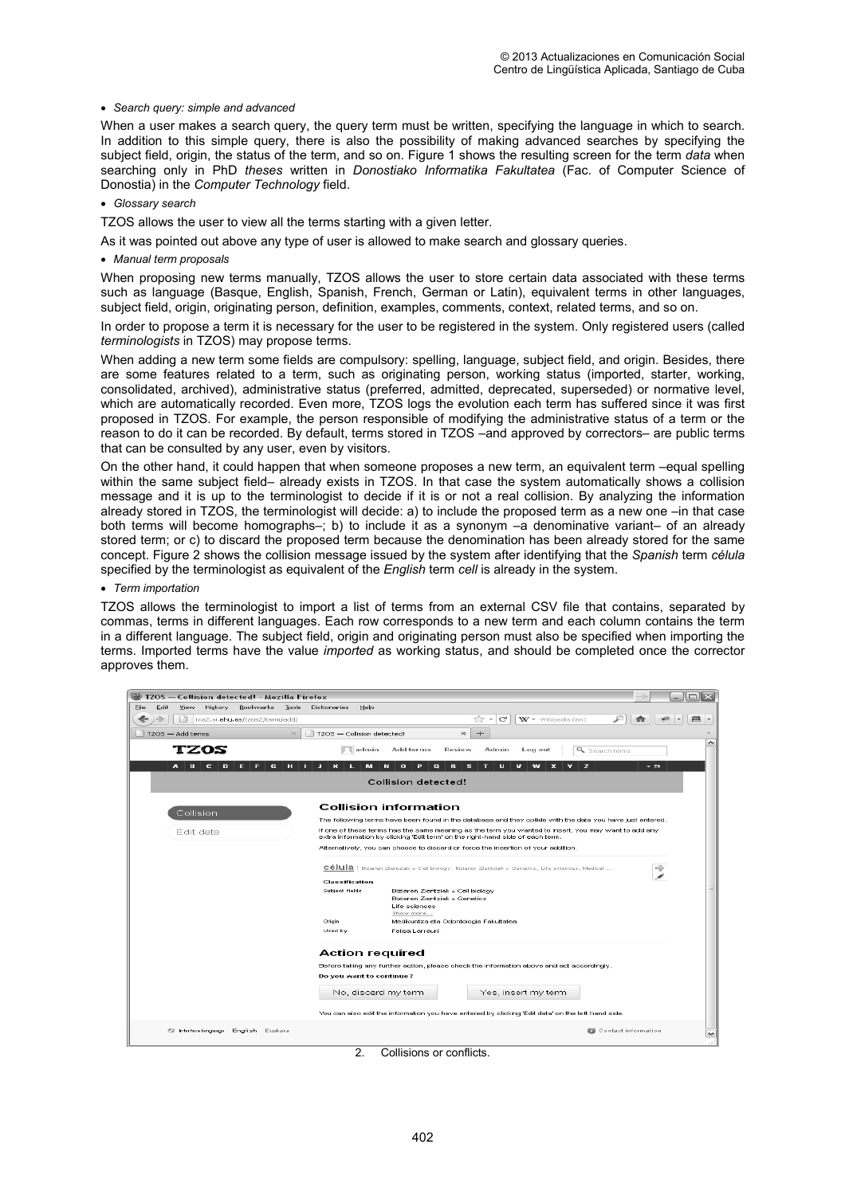#### • *Search query: simple and advanced*

When a user makes a search query, the query term must be written, specifying the language in which to search. In addition to this simple query, there is also the possibility of making advanced searches by specifying the subject field, origin, the status of the term, and so on. Figure 1 shows the resulting screen for the term *data* when searching only in PhD *theses* written in *Donostiako Informatika Fakultatea* (Fac. of Computer Science of Donostia) in the *Computer Technology* field.

• *Glossary search* 

TZOS allows the user to view all the terms starting with a given letter.

As it was pointed out above any type of user is allowed to make search and glossary queries.

• *Manual term proposals* 

When proposing new terms manually, TZOS allows the user to store certain data associated with these terms such as language (Basque, English, Spanish, French, German or Latin), equivalent terms in other languages, subject field, origin, originating person, definition, examples, comments, context, related terms, and so on.

In order to propose a term it is necessary for the user to be registered in the system. Only registered users (called *terminologists* in TZOS) may propose terms.

When adding a new term some fields are compulsory: spelling, language, subject field, and origin. Besides, there are some features related to a term, such as originating person, working status (imported, starter, working, consolidated, archived), administrative status (preferred, admitted, deprecated, superseded) or normative level, which are automatically recorded. Even more, TZOS logs the evolution each term has suffered since it was first proposed in TZOS. For example, the person responsible of modifying the administrative status of a term or the reason to do it can be recorded. By default, terms stored in TZOS –and approved by correctors– are public terms that can be consulted by any user, even by visitors.

On the other hand, it could happen that when someone proposes a new term, an equivalent term –equal spelling within the same subject field– already exists in TZOS. In that case the system automatically shows a collision message and it is up to the terminologist to decide if it is or not a real collision. By analyzing the information already stored in TZOS, the terminologist will decide: a) to include the proposed term as a new one –in that case both terms will become homographs–; b) to include it as a synonym –a denominative variant– of an already stored term; or c) to discard the proposed term because the denomination has been already stored for the same concept. Figure 2 shows the collision message issued by the system after identifying that the *Spanish* term *célula* specified by the terminologist as equivalent of the *English* term *cell* is already in the system.

#### • *Term importation*

TZOS allows the terminologist to import a list of terms from an external CSV file that contains, separated by commas, terms in different languages. Each row corresponds to a new term and each column contains the term in a different language. The subject field, origin and originating person must also be specified when importing the terms. Imported terms have the value *imported* as working status, and should be completed once the corrector approves them.



2. Collisions or conflicts.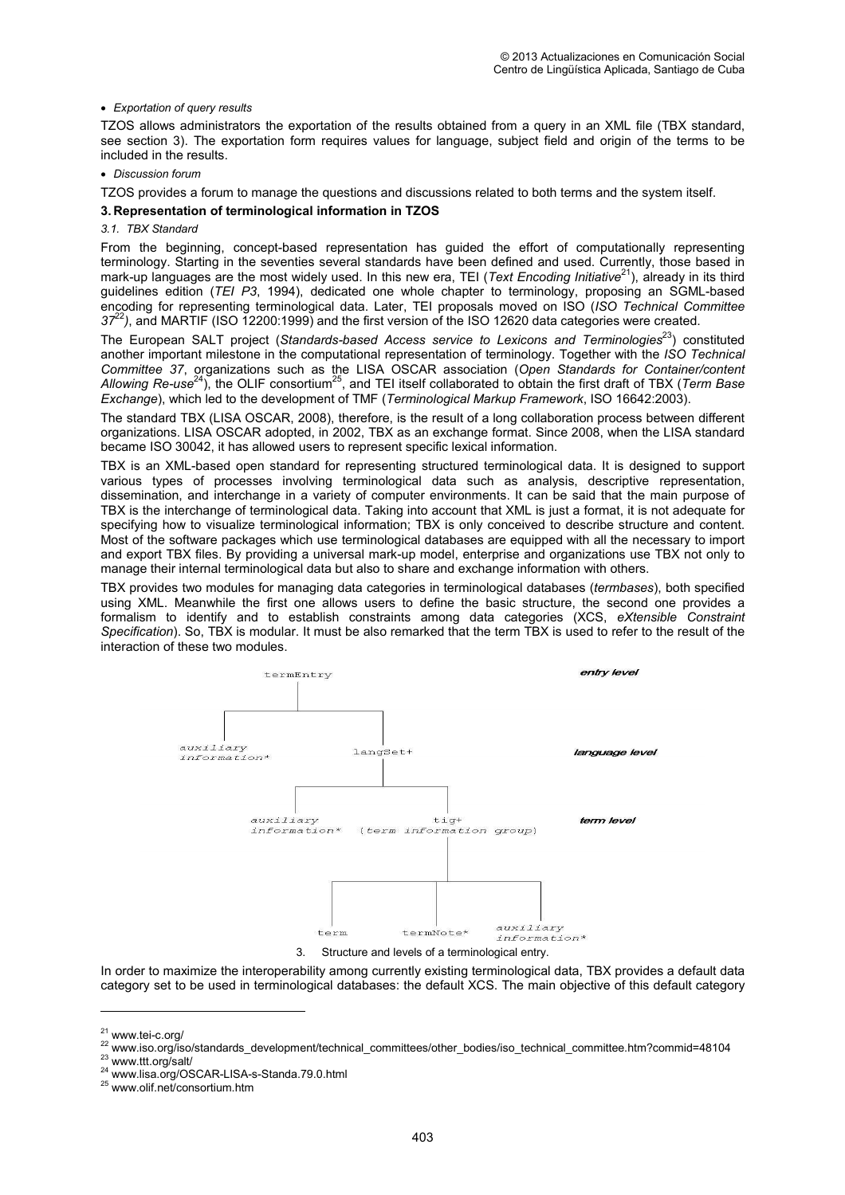### • *Exportation of query results*

TZOS allows administrators the exportation of the results obtained from a query in an XML file (TBX standard, see section 3). The exportation form requires values for language, subject field and origin of the terms to be included in the results.

#### • *Discussion forum*

TZOS provides a forum to manage the questions and discussions related to both terms and the system itself.

### **3. Representation of terminological information in TZOS**

## *3.1. TBX Standard*

From the beginning, concept-based representation has guided the effort of computationally representing terminology. Starting in the seventies several standards have been defined and used. Currently, those based in mark-up languages are the most widely used. In this new era, TEI (*Text Encoding Initiative*<sup>21</sup>), already in its third guidelines edition (*TEI P3*, 1994), dedicated one whole chapter to terminology, proposing an SGML-based encoding for representing terminological data. Later, TEI proposals moved on ISO (*ISO Technical Committee 37*<sup>22</sup>*)*, and MARTIF (ISO 12200:1999) and the first version of the ISO 12620 data categories were created.

The European SALT project (*Standards-based Access service to Lexicons and Terminologies*<sup>23</sup>) constituted another important milestone in the computational representation of terminology. Together with the *ISO Technical Committee 37*, organizations such as the LISA OSCAR association (*Open Standards for Container/content*  Allowing Re-use<sup>24</sup>), the OLIF consortium<sup>25</sup>, and TEI itself collaborated to obtain the first draft of TBX (*Term Base Exchange*), which led to the development of TMF (*Terminological Markup Framework*, ISO 16642:2003).

The standard TBX (LISA OSCAR, 2008), therefore, is the result of a long collaboration process between different organizations. LISA OSCAR adopted, in 2002, TBX as an exchange format. Since 2008, when the LISA standard became ISO 30042, it has allowed users to represent specific lexical information.

TBX is an XML-based open standard for representing structured terminological data. It is designed to support various types of processes involving terminological data such as analysis, descriptive representation, dissemination, and interchange in a variety of computer environments. It can be said that the main purpose of TBX is the interchange of terminological data. Taking into account that XML is just a format, it is not adequate for specifying how to visualize terminological information; TBX is only conceived to describe structure and content. Most of the software packages which use terminological databases are equipped with all the necessary to import and export TBX files. By providing a universal mark-up model, enterprise and organizations use TBX not only to manage their internal terminological data but also to share and exchange information with others.

TBX provides two modules for managing data categories in terminological databases (*termbases*), both specified using XML. Meanwhile the first one allows users to define the basic structure, the second one provides a formalism to identify and to establish constraints among data categories (XCS, *eXtensible Constraint Specification*). So, TBX is modular. It must be also remarked that the term TBX is used to refer to the result of the interaction of these two modules.



3. Structure and levels of a terminological entry.

In order to maximize the interoperability among currently existing terminological data, TBX provides a default data category set to be used in terminological databases: the default XCS. The main objective of this default category

 $\overline{a}$ 

<sup>23</sup> www.ttt.org/salt/

<sup>21</sup> www.tei-c.org/

<sup>22</sup> www.iso.org/iso/standards\_development/technical\_committees/other\_bodies/iso\_technical\_committee.htm?commid=48104

<sup>24</sup> www.lisa.org/OSCAR-LISA-s-Standa.79.0.html

<sup>25</sup> www.olif.net/consortium.htm